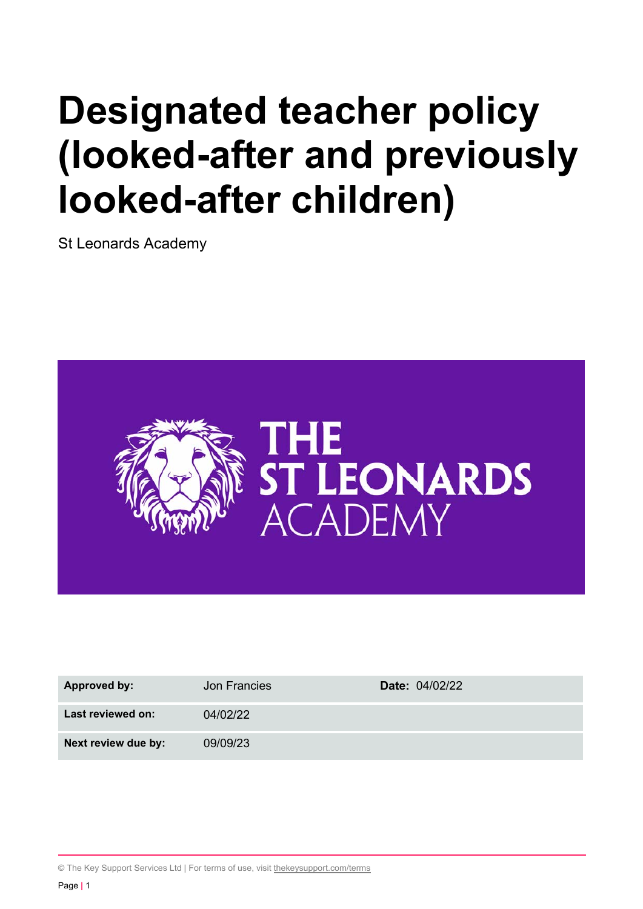# **Designated teacher policy (looked-after and previously looked-after children)**

St Leonards Academy



| Approved by:<br>Jon Francies    | <b>Date: 04/02/22</b> |
|---------------------------------|-----------------------|
| Last reviewed on:<br>04/02/22   |                       |
| Next review due by:<br>09/09/23 |                       |

© The Key Support Services Ltd | For terms of use, visit thekeysupport.com/terms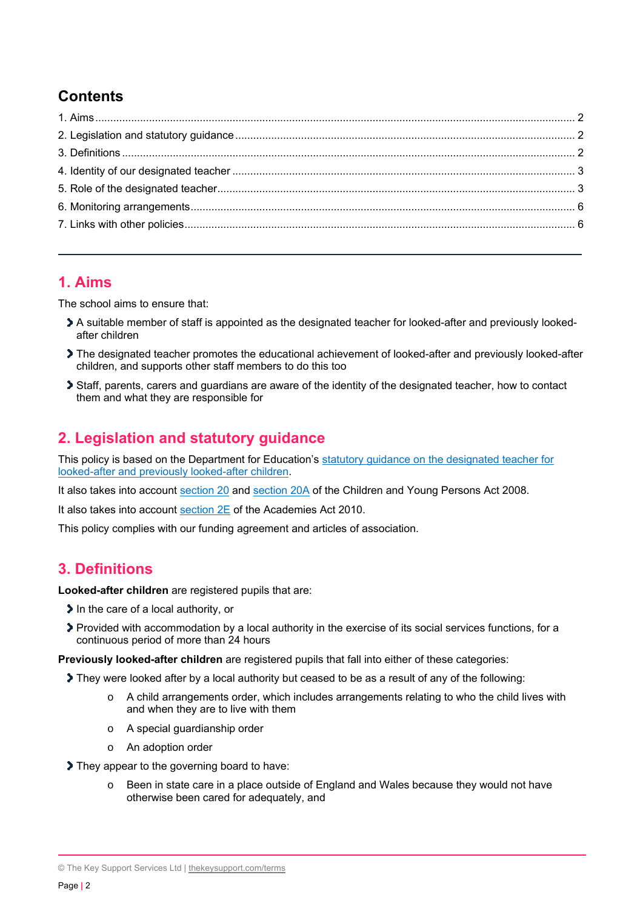# **Contents**

## **1. Aims**

The school aims to ensure that:

- A suitable member of staff is appointed as the designated teacher for looked-after and previously lookedafter children
- The designated teacher promotes the educational achievement of looked-after and previously looked-after children, and supports other staff members to do this too
- Staff, parents, carers and guardians are aware of the identity of the designated teacher, how to contact them and what they are responsible for

## **2. Legislation and statutory guidance**

This policy is based on the Department for Education's statutory guidance on the designated teacher for looked-after and previously looked-after children.

It also takes into account section 20 and section 20A of the Children and Young Persons Act 2008.

It also takes into account section 2E of the Academies Act 2010.

This policy complies with our funding agreement and articles of association.

## **3. Definitions**

**Looked-after children** are registered pupils that are:

- $\blacktriangleright$  In the care of a local authority, or
- Provided with accommodation by a local authority in the exercise of its social services functions, for a continuous period of more than 24 hours

**Previously looked-after children** are registered pupils that fall into either of these categories:

They were looked after by a local authority but ceased to be as a result of any of the following:

- $\circ$  A child arrangements order, which includes arrangements relating to who the child lives with and when they are to live with them
- o A special guardianship order
- o An adoption order

They appear to the governing board to have:

o Been in state care in a place outside of England and Wales because they would not have otherwise been cared for adequately, and

© The Key Support Services Ltd | thekeysupport.com/terms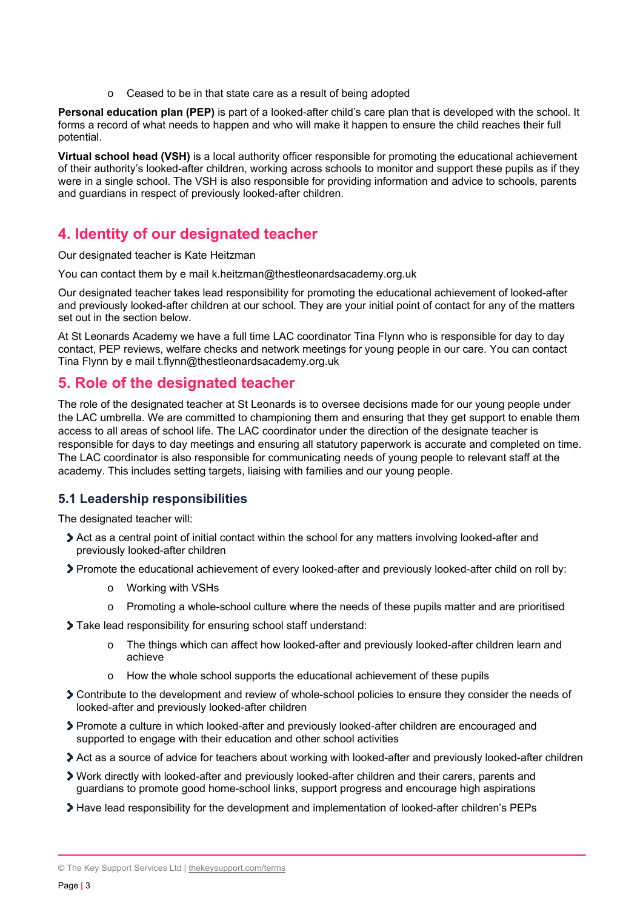Ceased to be in that state care as a result of being adopted

**Personal education plan (PEP)** is part of a looked-after child's care plan that is developed with the school. It forms a record of what needs to happen and who will make it happen to ensure the child reaches their full potential.

**Virtual school head (VSH)** is a local authority officer responsible for promoting the educational achievement of their authority's looked-after children, working across schools to monitor and support these pupils as if they were in a single school. The VSH is also responsible for providing information and advice to schools, parents and guardians in respect of previously looked-after children.

## **4. Identity of our designated teacher**

Our designated teacher is Kate Heitzman

You can contact them by e mail k.heitzman@thestleonardsacademy.org.uk

Our designated teacher takes lead responsibility for promoting the educational achievement of looked-after and previously looked-after children at our school. They are your initial point of contact for any of the matters set out in the section below.

At St Leonards Academy we have a full time LAC coordinator Tina Flynn who is responsible for day to day contact, PEP reviews, welfare checks and network meetings for young people in our care. You can contact Tina Flynn by e mail t.flynn@thestleonardsacademy.org.uk

## **5. Role of the designated teacher**

The role of the designated teacher at St Leonards is to oversee decisions made for our young people under the LAC umbrella. We are committed to championing them and ensuring that they get support to enable them access to all areas of school life. The LAC coordinator under the direction of the designate teacher is responsible for days to day meetings and ensuring all statutory paperwork is accurate and completed on time. The LAC coordinator is also responsible for communicating needs of young people to relevant staff at the academy. This includes setting targets, liaising with families and our young people.

## **5.1 Leadership responsibilities**

The designated teacher will:

- Act as a central point of initial contact within the school for any matters involving looked-after and previously looked-after children
- Promote the educational achievement of every looked-after and previously looked-after child on roll by:
	- o Working with VSHs
	- $\circ$  Promoting a whole-school culture where the needs of these pupils matter and are prioritised
- Take lead responsibility for ensuring school staff understand:
	- o The things which can affect how looked-after and previously looked-after children learn and achieve
	- o How the whole school supports the educational achievement of these pupils
- Contribute to the development and review of whole-school policies to ensure they consider the needs of looked-after and previously looked-after children
- Promote a culture in which looked-after and previously looked-after children are encouraged and supported to engage with their education and other school activities
- Act as a source of advice for teachers about working with looked-after and previously looked-after children
- Work directly with looked-after and previously looked-after children and their carers, parents and guardians to promote good home-school links, support progress and encourage high aspirations
- Have lead responsibility for the development and implementation of looked-after children's PEPs

<sup>©</sup> The Key Support Services Ltd | thekeysupport.com/terms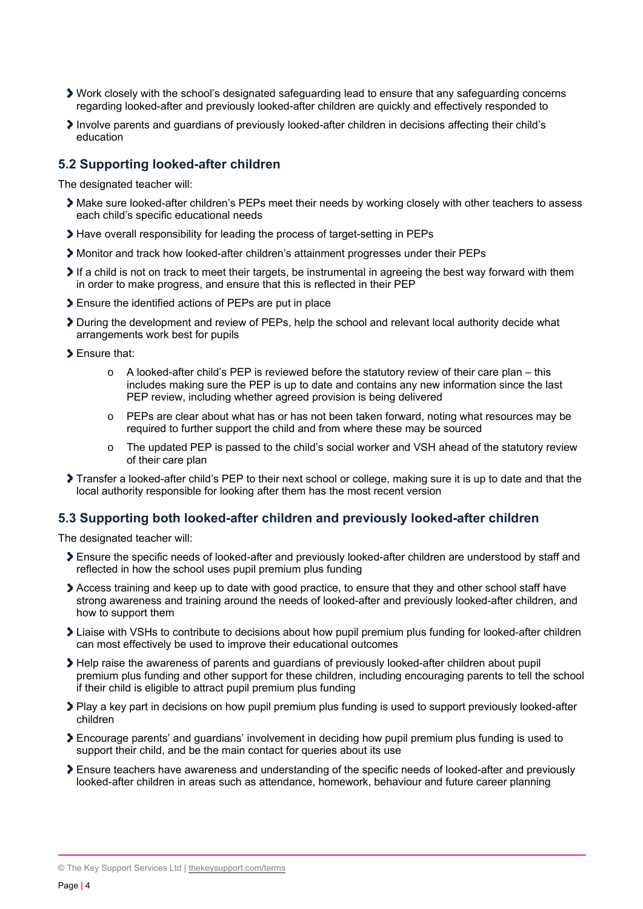- Work closely with the school's designated safeguarding lead to ensure that any safeguarding concerns regarding looked-after and previously looked-after children are quickly and effectively responded to
- Involve parents and guardians of previously looked-after children in decisions affecting their child's education

#### **5.2 Supporting looked-after children**

The designated teacher will:

- Make sure looked-after children's PEPs meet their needs by working closely with other teachers to assess each child's specific educational needs
- Have overall responsibility for leading the process of target-setting in PEPs
- Monitor and track how looked-after children's attainment progresses under their PEPs
- If a child is not on track to meet their targets, be instrumental in agreeing the best way forward with them in order to make progress, and ensure that this is reflected in their PEP
- Ensure the identified actions of PEPs are put in place
- During the development and review of PEPs, help the school and relevant local authority decide what arrangements work best for pupils
- **Ensure that:** 
	- A looked-after child's PEP is reviewed before the statutory review of their care plan this includes making sure the PEP is up to date and contains any new information since the last PEP review, including whether agreed provision is being delivered
	- o PEPs are clear about what has or has not been taken forward, noting what resources may be required to further support the child and from where these may be sourced
	- $\circ$  The updated PEP is passed to the child's social worker and VSH ahead of the statutory review of their care plan
- Transfer a looked-after child's PEP to their next school or college, making sure it is up to date and that the local authority responsible for looking after them has the most recent version

#### **5.3 Supporting both looked-after children and previously looked-after children**

The designated teacher will:

- Ensure the specific needs of looked-after and previously looked-after children are understood by staff and reflected in how the school uses pupil premium plus funding
- Access training and keep up to date with good practice, to ensure that they and other school staff have strong awareness and training around the needs of looked-after and previously looked-after children, and how to support them
- Liaise with VSHs to contribute to decisions about how pupil premium plus funding for looked-after children can most effectively be used to improve their educational outcomes
- Help raise the awareness of parents and guardians of previously looked-after children about pupil premium plus funding and other support for these children, including encouraging parents to tell the school if their child is eligible to attract pupil premium plus funding
- Play a key part in decisions on how pupil premium plus funding is used to support previously looked-after children
- Encourage parents' and guardians' involvement in deciding how pupil premium plus funding is used to support their child, and be the main contact for queries about its use
- Ensure teachers have awareness and understanding of the specific needs of looked-after and previously looked-after children in areas such as attendance, homework, behaviour and future career planning

© The Key Support Services Ltd | thekeysupport.com/terms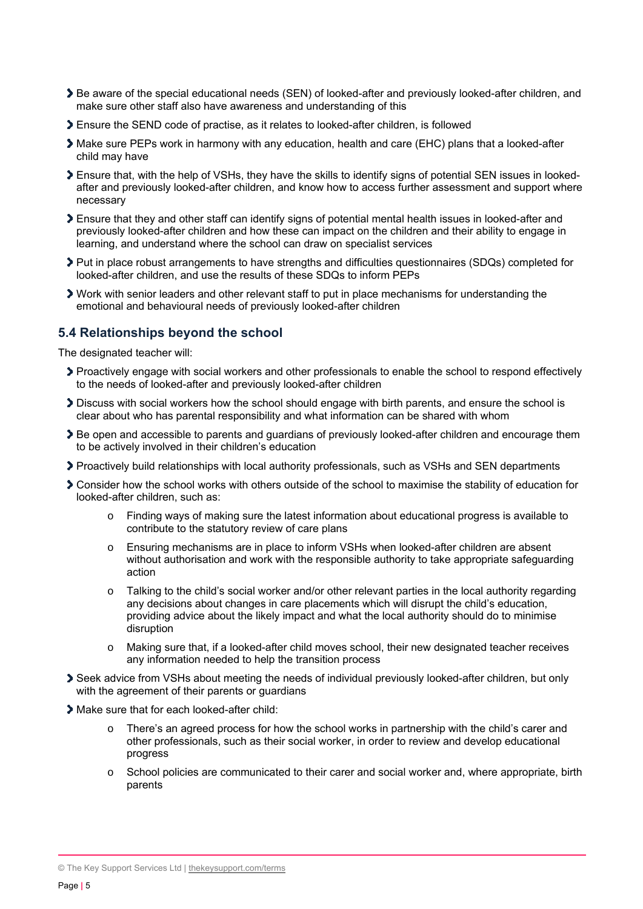- Be aware of the special educational needs (SEN) of looked-after and previously looked-after children, and make sure other staff also have awareness and understanding of this
- Ensure the SEND code of practise, as it relates to looked-after children, is followed
- Make sure PEPs work in harmony with any education, health and care (EHC) plans that a looked-after child may have
- Ensure that, with the help of VSHs, they have the skills to identify signs of potential SEN issues in lookedafter and previously looked-after children, and know how to access further assessment and support where necessary
- Ensure that they and other staff can identify signs of potential mental health issues in looked-after and previously looked-after children and how these can impact on the children and their ability to engage in learning, and understand where the school can draw on specialist services
- Put in place robust arrangements to have strengths and difficulties questionnaires (SDQs) completed for looked-after children, and use the results of these SDQs to inform PEPs
- Work with senior leaders and other relevant staff to put in place mechanisms for understanding the emotional and behavioural needs of previously looked-after children

### **5.4 Relationships beyond the school**

The designated teacher will:

- Proactively engage with social workers and other professionals to enable the school to respond effectively to the needs of looked-after and previously looked-after children
- Discuss with social workers how the school should engage with birth parents, and ensure the school is clear about who has parental responsibility and what information can be shared with whom
- Be open and accessible to parents and guardians of previously looked-after children and encourage them to be actively involved in their children's education
- Proactively build relationships with local authority professionals, such as VSHs and SEN departments
- Consider how the school works with others outside of the school to maximise the stability of education for looked-after children, such as:
	- o Finding ways of making sure the latest information about educational progress is available to contribute to the statutory review of care plans
	- o Ensuring mechanisms are in place to inform VSHs when looked-after children are absent without authorisation and work with the responsible authority to take appropriate safeguarding action
	- o Talking to the child's social worker and/or other relevant parties in the local authority regarding any decisions about changes in care placements which will disrupt the child's education, providing advice about the likely impact and what the local authority should do to minimise disruption
	- o Making sure that, if a looked-after child moves school, their new designated teacher receives any information needed to help the transition process
- Seek advice from VSHs about meeting the needs of individual previously looked-after children, but only with the agreement of their parents or quardians
- Make sure that for each looked-after child:
	- o There's an agreed process for how the school works in partnership with the child's carer and other professionals, such as their social worker, in order to review and develop educational progress
	- o School policies are communicated to their carer and social worker and, where appropriate, birth parents

<sup>©</sup> The Key Support Services Ltd | thekeysupport.com/terms